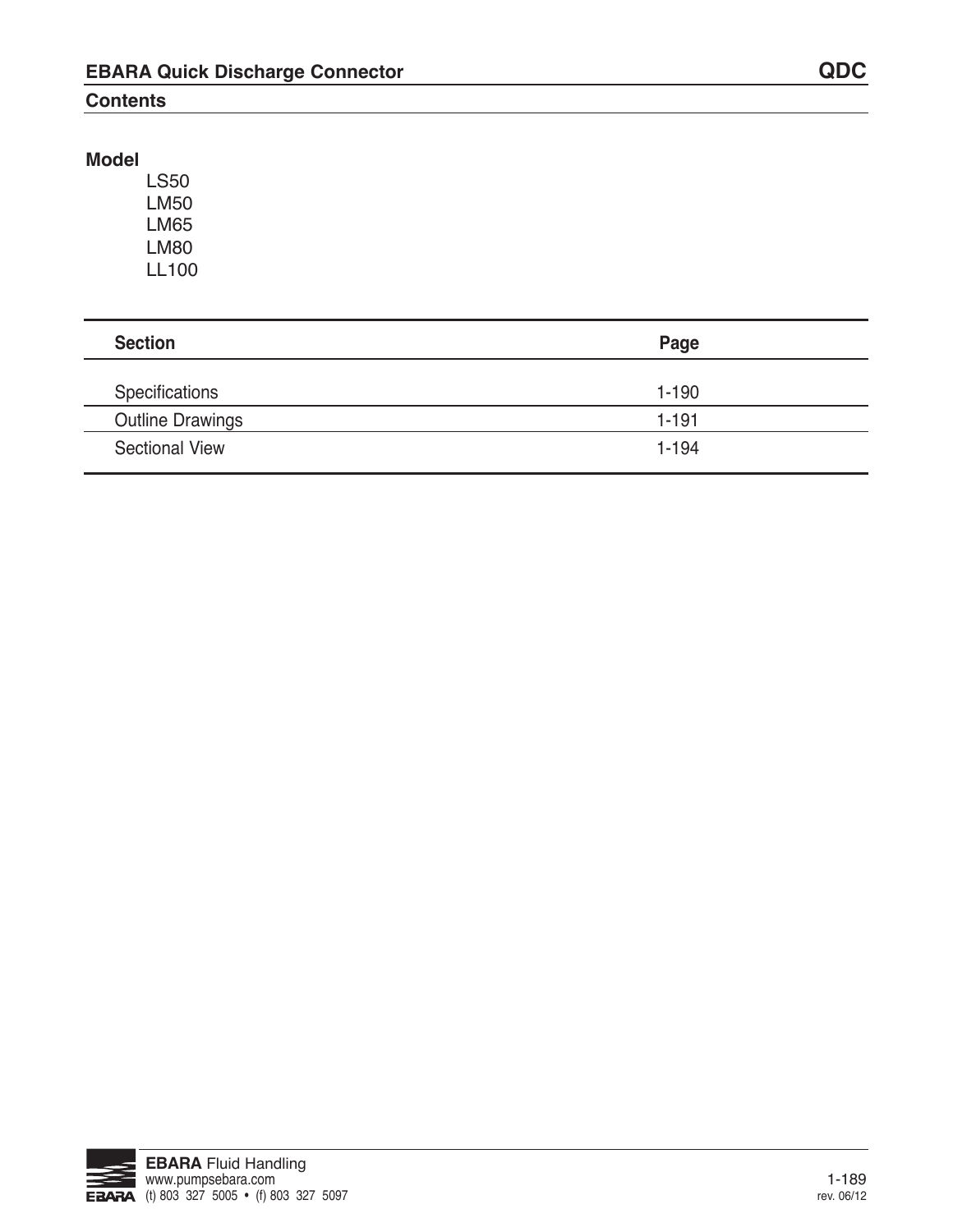## **Contents**

## **Model**

LS50 LM50 LM65 LM80 LL100

| <b>Section</b>          | Page      |
|-------------------------|-----------|
| Specifications          | $1 - 190$ |
| <b>Outline Drawings</b> | 1-191     |
| <b>Sectional View</b>   | $1 - 194$ |

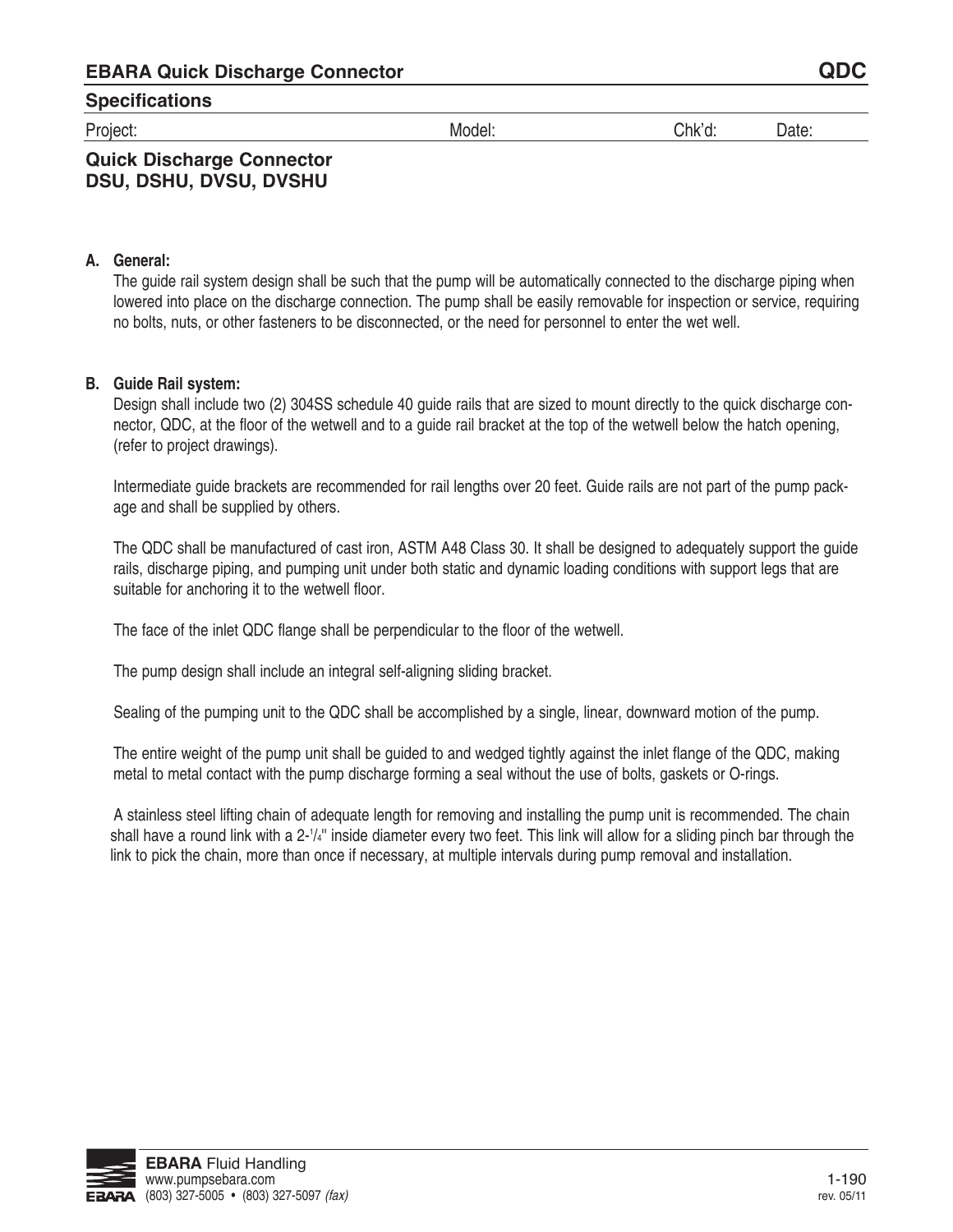#### **Specifications**

#### Project: Model: Chk'd: Date:

## **Quick Discharge Connector DSU, DSHU, DVSU, DVSHU**

#### **A. General:**

The guide rail system design shall be such that the pump will be automatically connected to the discharge piping when lowered into place on the discharge connection. The pump shall be easily removable for inspection or service, requiring no bolts, nuts, or other fasteners to be disconnected, or the need for personnel to enter the wet well.

#### **B. Guide Rail system:**

Design shall include two (2) 304SS schedule 40 guide rails that are sized to mount directly to the quick discharge connector, QDC, at the floor of the wetwell and to a guide rail bracket at the top of the wetwell below the hatch opening, (refer to project drawings).

Intermediate guide brackets are recommended for rail lengths over 20 feet. Guide rails are not part of the pump package and shall be supplied by others.

The QDC shall be manufactured of cast iron, ASTM A48 Class 30. It shall be designed to adequately support the guide rails, discharge piping, and pumping unit under both static and dynamic loading conditions with support legs that are suitable for anchoring it to the wetwell floor.

The face of the inlet QDC flange shall be perpendicular to the floor of the wetwell.

The pump design shall include an integral self-aligning sliding bracket.

Sealing of the pumping unit to the QDC shall be accomplished by a single, linear, downward motion of the pump.

The entire weight of the pump unit shall be guided to and wedged tightly against the inlet flange of the QDC, making metal to metal contact with the pump discharge forming a seal without the use of bolts, gaskets or o-rings.

A stainless steel lifting chain of adequate length for removing and installing the pump unit is recommended. The chain shall have a round link with a 2-¼" inside diameter every two feet. This link will allow for a sliding pinch bar through the link to pick the chain, more than once if necessary, at multiple intervals during pump removal and installation.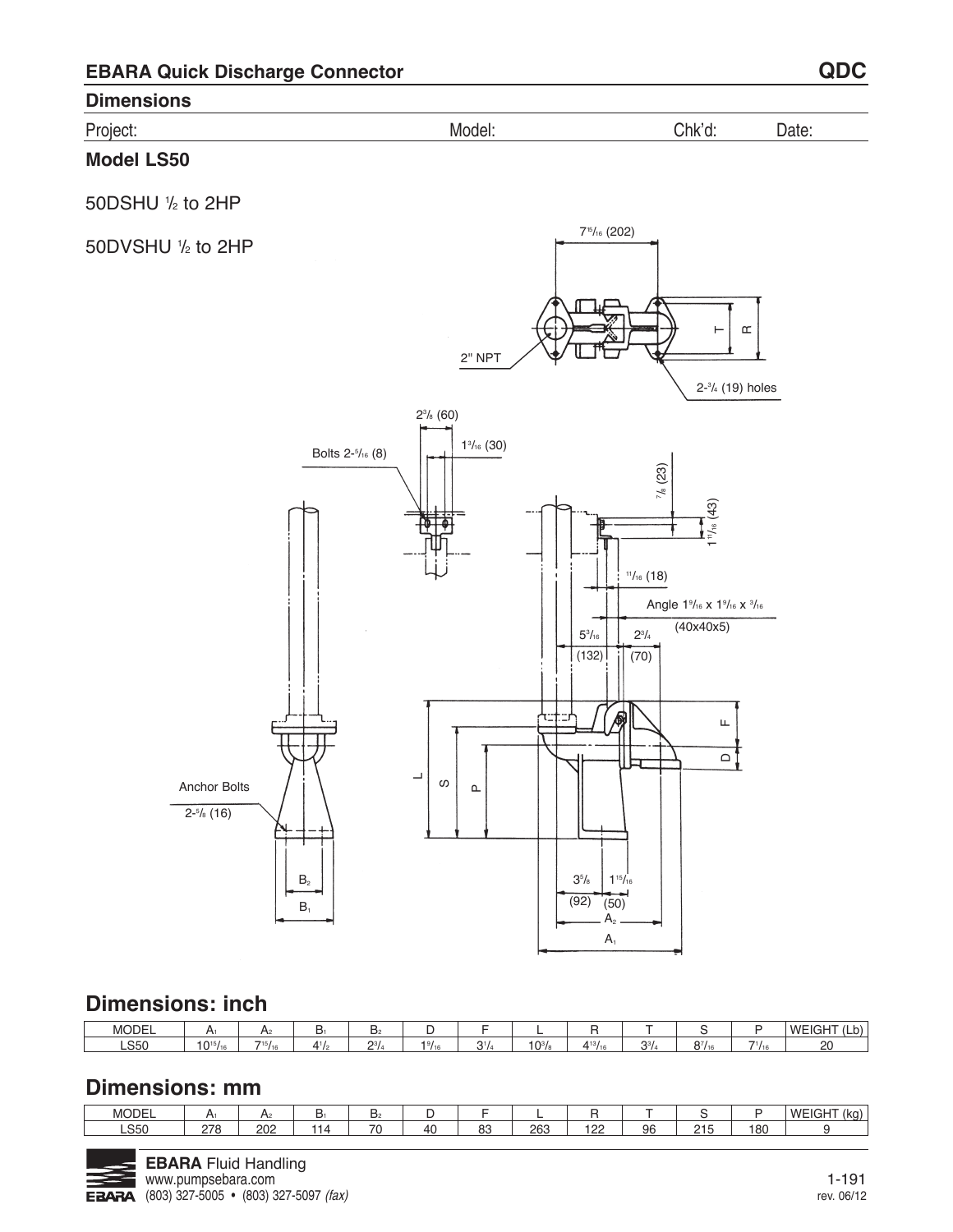### **Dimensions**

| Project:<br>Mode <sub>u</sub> | Chk'd<br>Date:<br>≧u. |  |
|-------------------------------|-----------------------|--|
|-------------------------------|-----------------------|--|

#### **Model LS50**

50DSHU <sup>1</sup> /2 to 2HP

50DVSHU <sup>1</sup> /2 to 2HP



## **Dimensions: inch**

| <b>MODEL</b> |            | л.<br>≃۲       | יר  | D2                             |       |              |                     |                                 | -          |                             |            | <b>WEIGH</b><br>$\cdots$<br>יי ט∟.<br>י ג<br>- - - - - - |
|--------------|------------|----------------|-----|--------------------------------|-------|--------------|---------------------|---------------------------------|------------|-----------------------------|------------|----------------------------------------------------------|
| <b>LS50</b>  | $10^{15}L$ | $7^{15}/_{16}$ | ے ہ | 2 <sub>3</sub><br>$-1^{\circ}$ | 19/16 | $\mathbf{C}$ | $10^{3}/\mathrm{s}$ | $\Lambda$ <sup>13</sup> /<br>16 | 231<br>ີ ເ | O <sub>7</sub><br>$O'$ / 16 | $-1$<br>71 | oc<br>້                                                  |

# **Dimensions: mm**

| <b>MODEL</b> | ┒   | -12         | ◡ | D2 |                      | -        |            |                       | $\overline{\phantom{a}}$ |                  | -   | <b>WEIGHT</b><br>(ka<br>titin<br><b></b><br><u></u> |
|--------------|-----|-------------|---|----|----------------------|----------|------------|-----------------------|--------------------------|------------------|-----|-----------------------------------------------------|
| CEN<br>LUUU  | 270 | nnn<br>ZUZ. |   | 70 | $\overline{ }$<br>41 | 00<br>ບປ | ממר<br>دە∠ | n <sub>0</sub><br>ے ، | 96                       | 0.47<br>. .<br>- | 180 |                                                     |

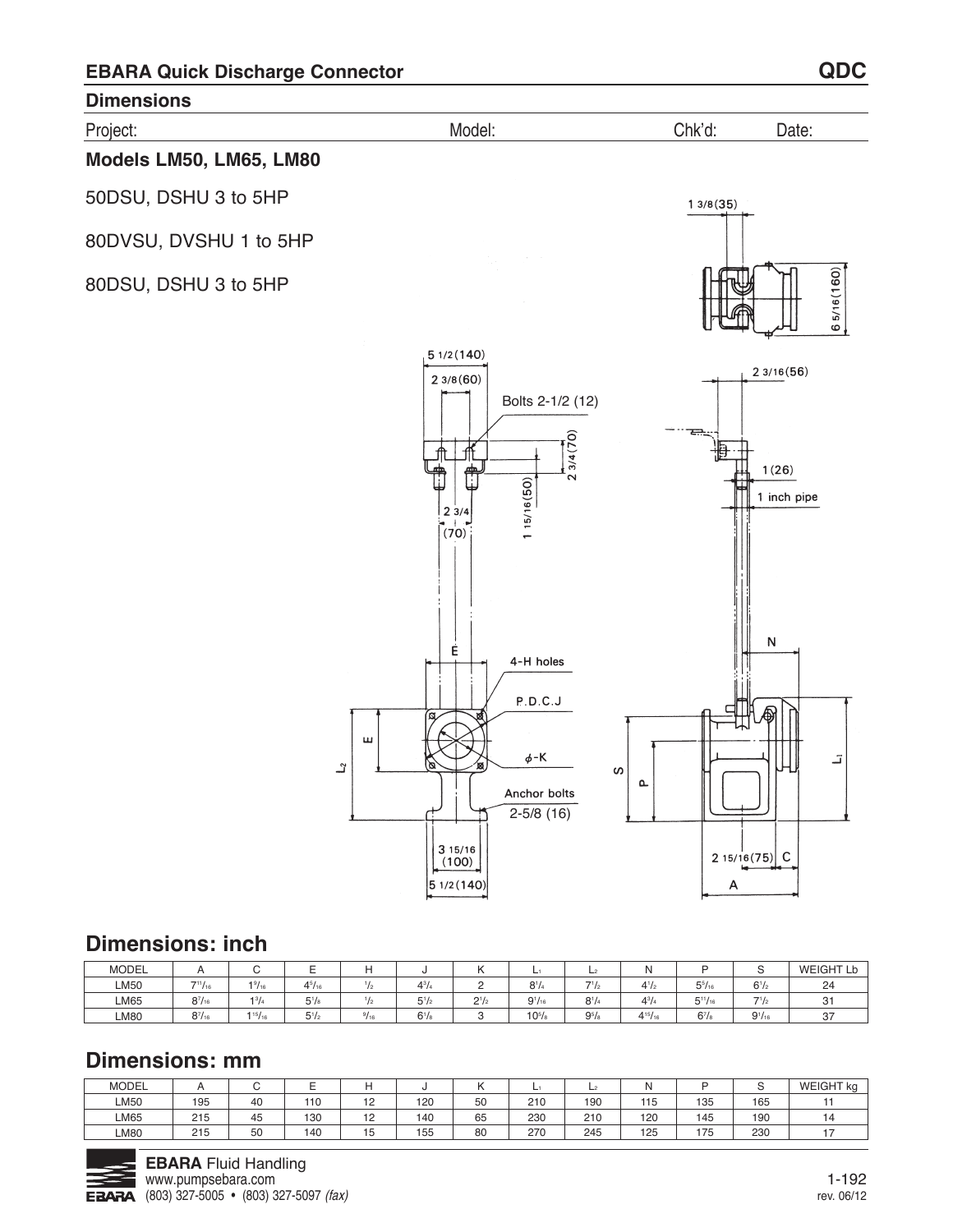

# **Dimensions: inch**

| <b>MODEL</b> |                | ັ               |               |                 | ັບ           |           | -                   | ∽            |                |                | u            | <b>WEIGHT Lt</b><br>Lb |
|--------------|----------------|-----------------|---------------|-----------------|--------------|-----------|---------------------|--------------|----------------|----------------|--------------|------------------------|
| <b>LM50</b>  | $7^{11}/_{16}$ | $1\frac{9}{16}$ | $4^{5}/_{16}$ | 12 <sup>2</sup> | $4^{3}/_{4}$ |           | $8^{1}/_{4}$        | $7^{1}/_{2}$ | $4^{1}/_{2}$   | $5^{5}/_{16}$  | $6^{1}/_{2}$ | $^{24}$                |
| <b>LM65</b>  | $8^{7}/_{16}$  | $1^{3}/_{4}$    | $5^{1}/3$     | $12^{\circ}$    | $5^{1}/_{2}$ | $2^{1/2}$ | $9^{1/16}$          | $8^{1}/4$    | $4^{3}/_{4}$   | $5^{11}/_{16}$ | $7^{1}/_{2}$ | ີ                      |
| <b>LM80</b>  | $8^{7}/_{16}$  | 15/16           | $5^{1}/2$     | 9/16            | $6^{1}/s$    |           | $10^{5}/\mathrm{s}$ | $9^{5}/_8$   | $4^{15}/_{16}$ | $6^{7}/s$      | $9^{1/16}$   | $\sim$                 |

# **Dimensions: mm**

| <b>MODEL</b> |     | ັ  |     |                                 | ັບ  |    | -   | ∽   |     |     | ັ   | <b>WEIGHT kg</b> |
|--------------|-----|----|-----|---------------------------------|-----|----|-----|-----|-----|-----|-----|------------------|
| <b>LM50</b>  | 195 | 40 | 110 | $\overline{\phantom{a}}$<br>ے ا | 120 | 50 | 210 | 190 | 115 | 135 | 165 |                  |
| <b>LM65</b>  | 215 | 45 | 130 | ۔ ا                             | 140 | 65 | 230 | 210 | 120 | 145 | 190 |                  |
| <b>LM80</b>  | 215 | 50 | 140 | ◡                               | 155 | 80 | 270 | 245 | 125 | 175 | 230 |                  |

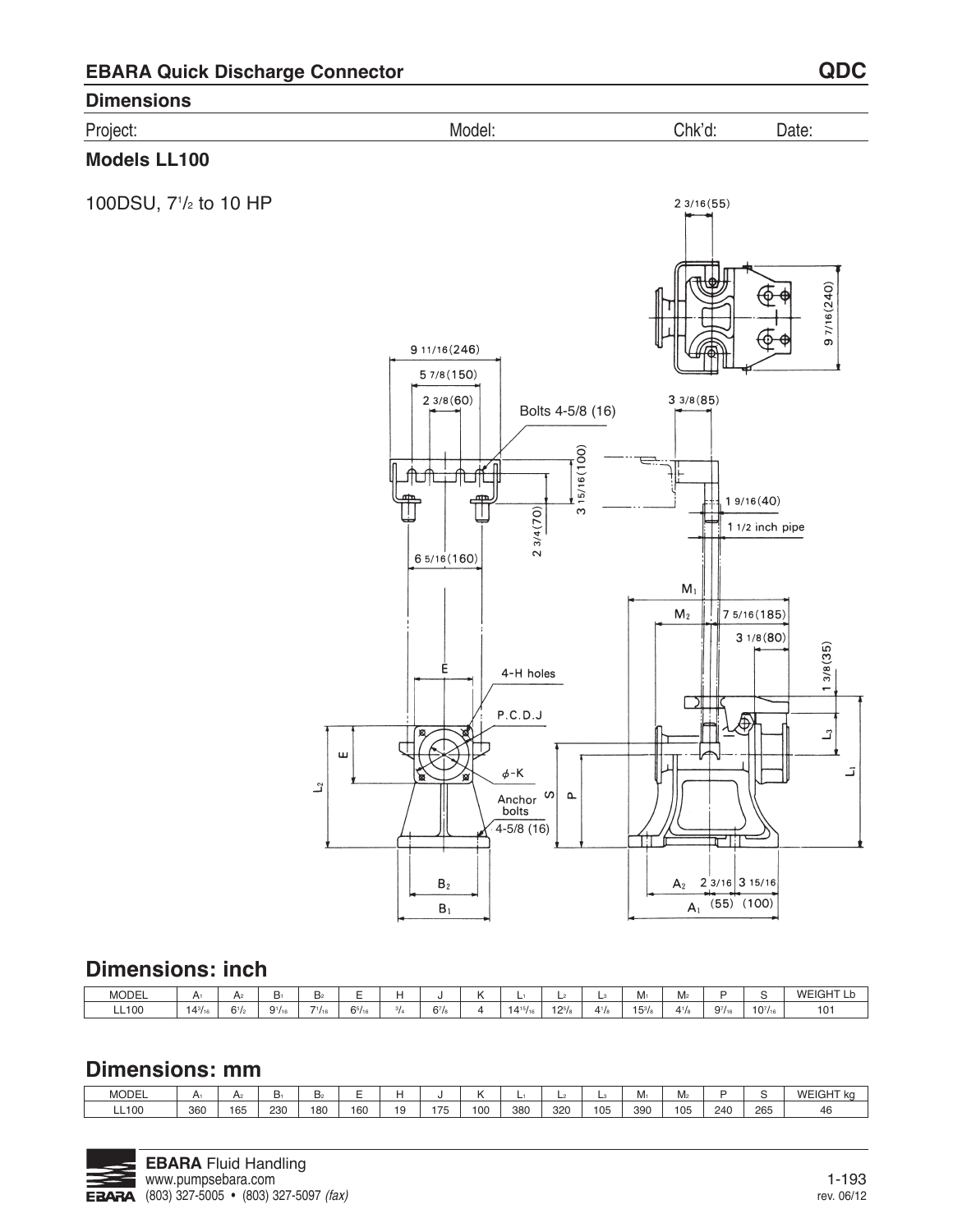#### **Dimensions**

#### **Models LL100**

100DSU, 71 /2 to 10 HP



## **Dimensions: inch**

| <b>MODEL</b> | H <sub>1</sub>        | д.<br>v   | D <sub>1</sub> | B <sub>2</sub> | $\overline{\phantom{0}}$<br><u>_</u> |           |   | -         |            | سا        | M <sub>1</sub> | $N_{2}$                                    |                   |                    | WEIGHT          |
|--------------|-----------------------|-----------|----------------|----------------|--------------------------------------|-----------|---|-----------|------------|-----------|----------------|--------------------------------------------|-------------------|--------------------|-----------------|
| $-L100$      | $14^{3}/_{16}$<br>. . | $6^{1/2}$ | $9^{1}/10$     | $7^{1}/_{16}$  | $6^{5}/_{16}$                        | $6^{7}/s$ | ᅭ | $14^{15}$ | $12^{5}/s$ | $4^{1}/s$ | $5^3/s$        | $\bullet$ $\bullet$<br>$\mathbf{a}$<br>4/8 | 9 <sup>7</sup> /1 | 10 <sup>7</sup> /1 | 10 <sup>°</sup> |

# **Dimensions: mm**

| <b>MODEI</b> | $A_1$        | Α2  | -<br>◡<br>ັ | D <sub>2</sub> |     |        |                                                                |     |     | ∽         |          | .VI1 | $N_{2}$ |     |           | <b>WF</b><br>י דוומו־<br>kc<br>iGi |
|--------------|--------------|-----|-------------|----------------|-----|--------|----------------------------------------------------------------|-----|-----|-----------|----------|------|---------|-----|-----------|------------------------------------|
| .100         | 360<br>- - - | 165 | 230<br>__   | 180<br>__      | 160 | ۵<br>Ð | $\overline{\phantom{a}}$<br>$\overline{\phantom{a}}$<br>$\sim$ | 100 | 380 | 320<br>__ | 05<br>__ | 390  | 105     | 240 | 265<br>__ | 46                                 |

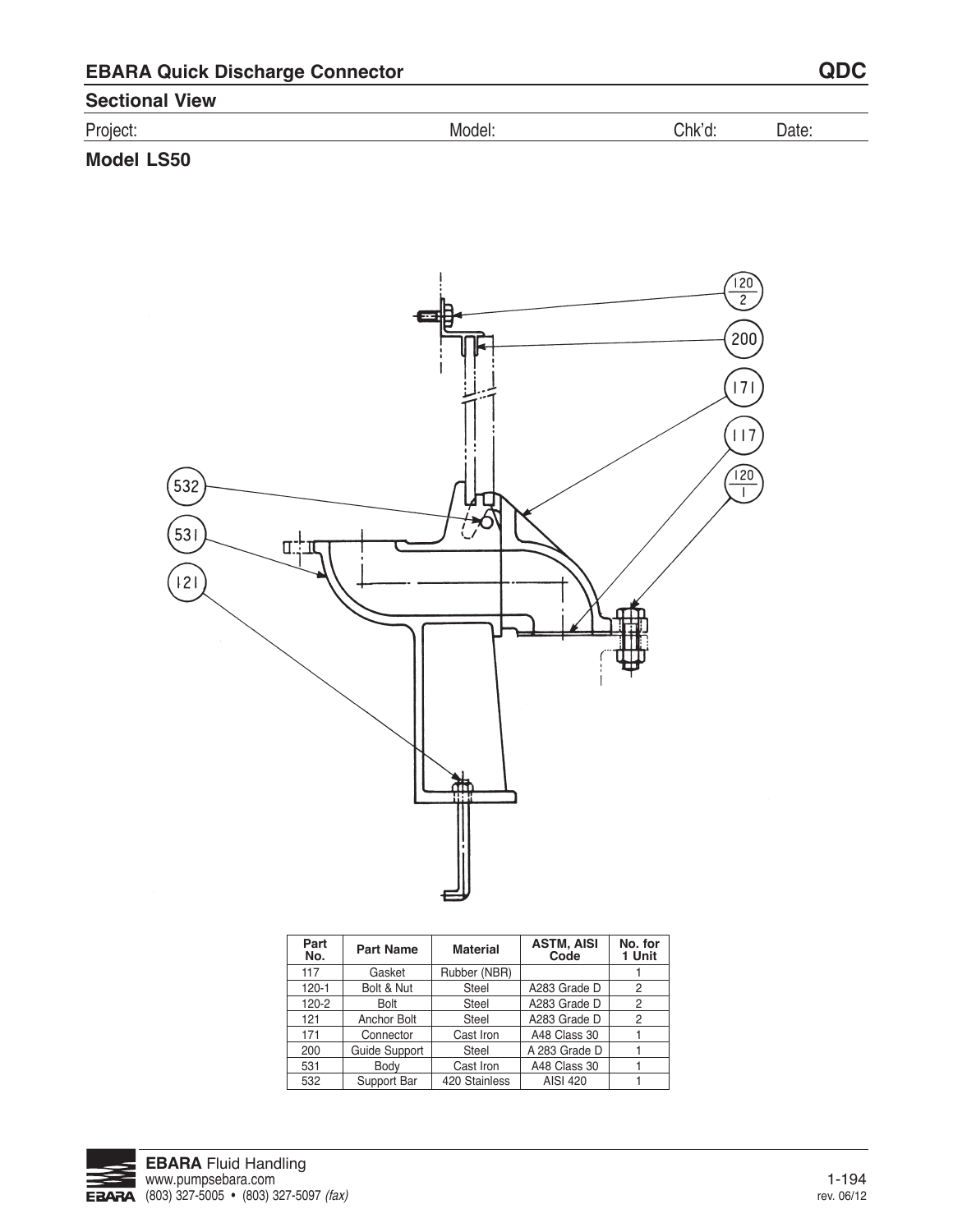| $\blacksquare$<br>- 1116<br>◡<br>. | IМ<br>ю.<br>. ושי<br> | `hk<br>൶<br>◡ | $-$<br>$\sim$ |
|------------------------------------|-----------------------|---------------|---------------|
|                                    |                       |               |               |

**Model LS50**



| Part<br>No. | <b>Part Name</b>   | <b>Material</b> | <b>ASTM, AISI</b><br>Code | No. for<br>1 Unit |
|-------------|--------------------|-----------------|---------------------------|-------------------|
| 117         | Gasket             | Rubber (NBR)    |                           |                   |
| $120 - 1$   | Bolt & Nut         | Steel           | A283 Grade D              | 2                 |
| $120 - 2$   | <b>Bolt</b>        | Steel           | A283 Grade D              | 2                 |
| 121         | <b>Anchor Bolt</b> | Steel           | A283 Grade D              | 2                 |
| 171         | Connector          | Cast Iron       | A48 Class 30              |                   |
| 200         | Guide Support      | Steel           | A 283 Grade D             |                   |
| 531         | Body               | Cast Iron       | A48 Class 30              |                   |
| 532         | Support Bar        | 420 Stainless   | <b>AISI 420</b>           |                   |

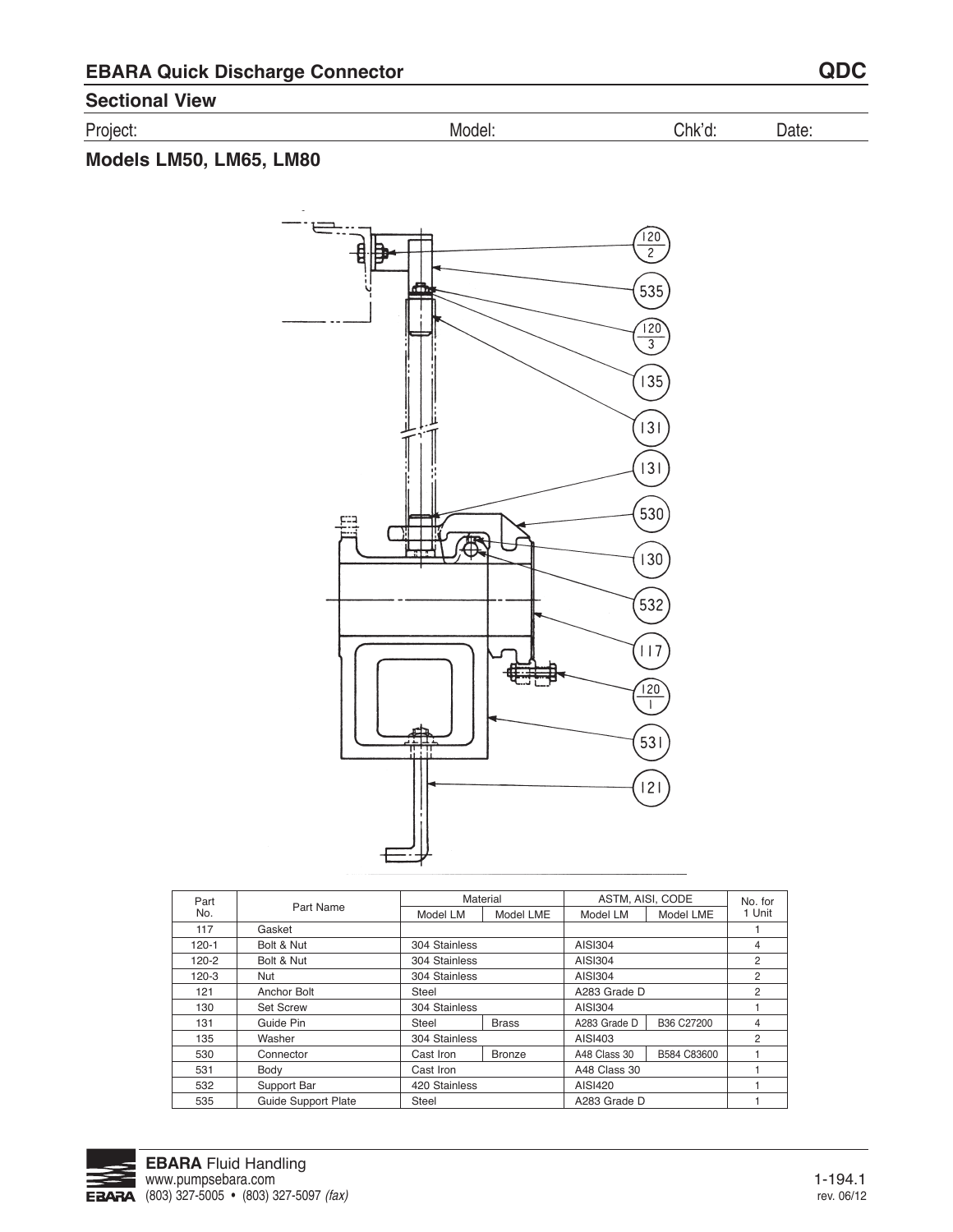## **Sectional View**

Project: Model: Chk'd: Date:

# **Models LM50, LM65, LM80**



| Part      |                            | Material      |               | ASTM, AISI, CODE |             | No. for        |  |
|-----------|----------------------------|---------------|---------------|------------------|-------------|----------------|--|
| No.       | Part Name                  | Model LM      | Model LME     | Model LM         | Model LME   | 1 Unit         |  |
| 117       | Gasket                     |               |               |                  |             |                |  |
| $120 - 1$ | Bolt & Nut                 | 304 Stainless |               | AISI304          |             | 4              |  |
| $120 - 2$ | Bolt & Nut                 | 304 Stainless |               | AISI304          | 2           |                |  |
| $120 - 3$ | Nut                        | 304 Stainless |               | AISI304          |             | 2              |  |
| 121       | Anchor Bolt                | Steel         |               | A283 Grade D     |             | $\overline{2}$ |  |
| 130       | <b>Set Screw</b>           | 304 Stainless |               | AISI304          |             |                |  |
| 131       | Guide Pin                  | Steel         | <b>Brass</b>  | A283 Grade D     | B36 C27200  | 4              |  |
| 135       | Washer                     | 304 Stainless |               | AISI403          |             | $\overline{2}$ |  |
| 530       | Connector                  | Cast Iron     | <b>Bronze</b> | A48 Class 30     | B584 C83600 |                |  |
| 531       | Body                       | Cast Iron     |               | A48 Class 30     |             |                |  |
| 532       | Support Bar                | 420 Stainless |               | AISI420          |             |                |  |
| 535       | <b>Guide Support Plate</b> | Steel         |               | A283 Grade D     |             |                |  |